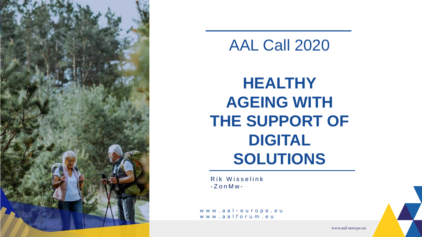

### AAL Call 2020

### **HEALTHY AGEING WITH THE SUPPORT OF DIGITAL SOLUTIONS**

Rik Wisselink  $-Z$  o n M w -

www.aal-europe.eu www.aalforum.eu

www.aal-europe.eu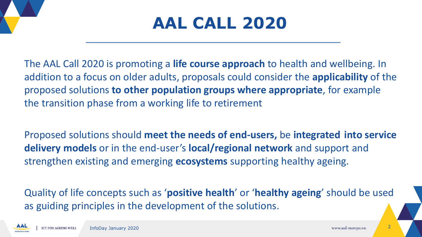### **AAL CALL 2020**

The AAL Call 2020 is promoting a **life course approach** to health and wellbeing. In addition to a focus on older adults, proposals could consider the **applicability** of the proposed solutions **to other population groups where appropriate**, for example the transition phase from a working life to retirement

Proposed solutions should **meet the needs of end-users,** be **integrated into service delivery models** or in the end-user's **local/regional network** and support and strengthen existing and emerging **ecosystems** supporting healthy ageing.

Quality of life concepts such as '**positive health**' or '**healthy ageing**' should be used as guiding principles in the development of the solutions.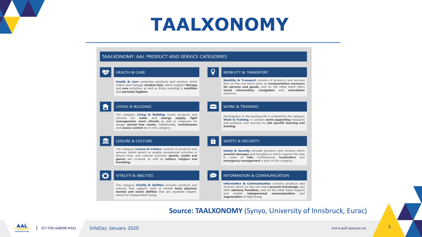### **TAALXONOMY**

#### TAALXONOMY: AAL PRODUCT AND SERVICE CATEGORIES



#### **HEALTH & CARE**

Health & Care comprises products and services which collect and manage medical data, which support therapy and care activities, as well as those assisting in nutrition and personal hygiene.

#### **MOBILITY & TRANSPORT**

Mobility & Transport consists of products and services that on the one hand serve as transportation measures for persons and goods, and on the other hand offers travel information, navigation and orientation solutions.

#### **LIVING & BUILDING**

The category Living & Building covers products and services for water and energy supply, light management, room climate as well as measures for design barrier-free rooms. Additionally, maintenance and access control are in this category.

#### **LEISURE & CULTURE**

The category Leisure & Culture consists of products and services which enrich or enable recreational activities in leisure time, and cultural activities. Sports, media and games are covered, as well as culture, religion and travelling.

#### **VITALITY & ABILITIES**

The category Vitality & Abilities includes products and services that support, train or enable basic physical, mental and social abilities that are essential requirements for independent living.

#### **WORK & TRAINING**

Participation in the working life is covered by the category Work & Training. It contains work supporting measures and products and services for job specific learning and training.

#### **SAFETY & SECURITY**

l s

 $\mathbf{G}$ 

Safety & Security includes products and services which prevent damages and burglary or which support the user in cases of **falls.** Furthermore, **localisation** and emergency management is part of this category.

#### **INFORMATION & COMMUNICATION**

Information & Communication contains products and services which on the one hand present knowledge and offer advisory functions, and on the other hand support and enable interpersonal communication and organisation of daily living.

#### **Source: TAALXONOMY** (Synyo, University of Innsbruck, Eurac)

<u>ш</u>

IÖ.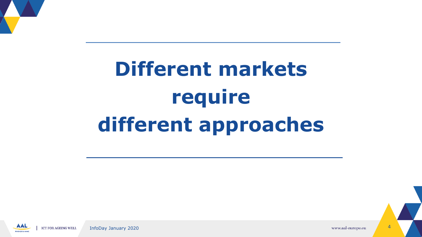

# **Different markets require different approaches**

AAL a InfoDay January 2020 **1999** and the set of the set of the set of the set of the set of the set of the set of the set of the set of the set of the set of the set of the set of the set of the set of the set of the set of t **ICT FOR AGEING WELL BROGRAMME**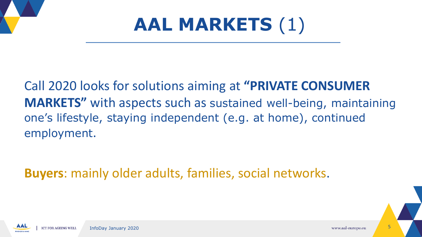



### Call 2020 looks for solutions aiming at **"PRIVATE CONSUMER MARKETS"** with aspects such as sustained well-being, maintaining one's lifestyle, staying independent (e.g. at home), continued employment.

**Buyers**: mainly older adults, families, social networks.

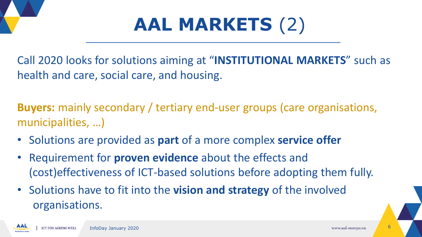



Call 2020 looks for solutions aiming at "**INSTITUTIONAL MARKETS**" such as health and care, social care, and housing.

**Buyers:** mainly secondary / tertiary end-user groups (care organisations, municipalities, …)

- Solutions are provided as **part** of a more complex **service offer**
- Requirement for **proven evidence** about the effects and (cost)effectiveness of ICT-based solutions before adopting them fully.
- Solutions have to fit into the **vision and strategy** of the involved organisations.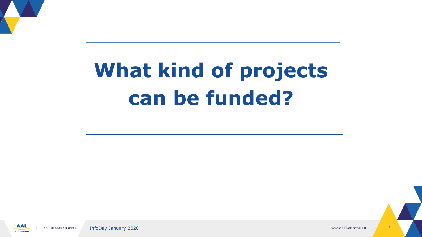

# **What kind of projects can be funded?**

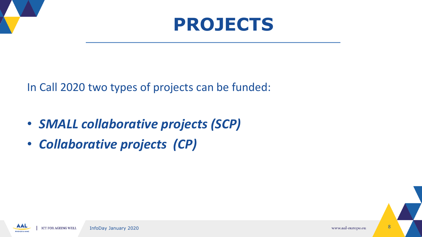

In Call 2020 two types of projects can be funded:

- *SMALL collaborative projects (SCP)*
- *Collaborative projects (CP)*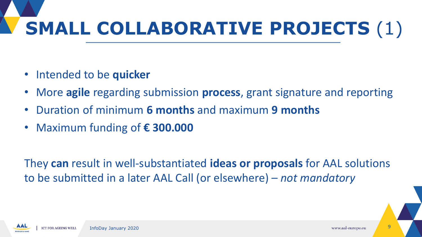# **SMALL COLLABORATIVE PROJECTS** (1)

- Intended to be **quicker**
- More **agile** regarding submission **process**, grant signature and reporting
- Duration of minimum **6 months** and maximum **9 months**
- Maximum funding of **€ 300.000**

They **can** result in well-substantiated **ideas or proposals** for AAL solutions to be submitted in a later AAL Call (or elsewhere) – *not mandatory*

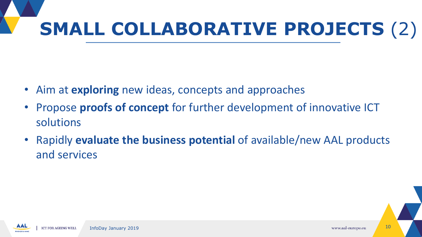# **SMALL COLLABORATIVE PROJECTS** (2)

- Aim at **exploring** new ideas, concepts and approaches
- Propose **proofs of concept** for further development of innovative ICT solutions
- Rapidly **evaluate the business potential** of available/new AAL products and services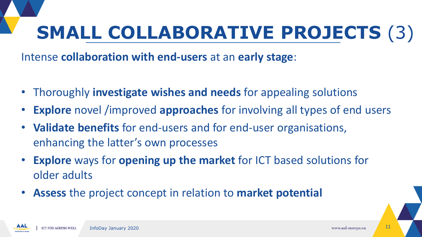## **SMALL COLLABORATIVE PROJECTS** (3)

Intense **collaboration with end-users** at an **early stage**:

- Thoroughly **investigate wishes and needs** for appealing solutions
- **Explore** novel /improved **approaches** for involving all types of end users
- **Validate benefits** for end-users and for end-user organisations, enhancing the latter's own processes
- **Explore** ways for **opening up the market** for ICT based solutions for older adults
- **Assess** the project concept in relation to **market potential**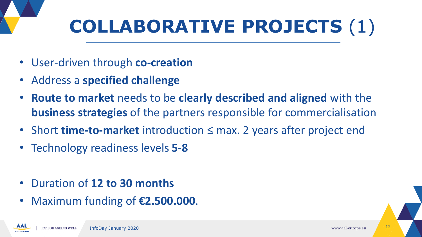# **COLLABORATIVE PROJECTS** (1)

- User-driven through **co-creation**
- Address a **specified challenge**
- **Route to market** needs to be **clearly described and aligned** with the **business strategies** of the partners responsible for commercialisation
- Short **time-to-market** introduction ≤ max. 2 years after project end
- Technology readiness levels **5-8**
- Duration of **12 to 30 months**
- Maximum funding of **€2.500.000**.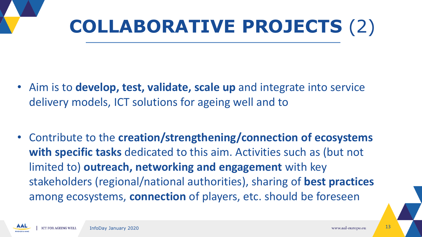

- Aim is to **develop, test, validate, scale up** and integrate into service delivery models, ICT solutions for ageing well and to
- Contribute to the **creation/strengthening/connection of ecosystems with specific tasks** dedicated to this aim. Activities such as (but not limited to) **outreach, networking and engagement** with key stakeholders (regional/national authorities), sharing of **best practices**  among ecosystems, **connection** of players, etc. should be foreseen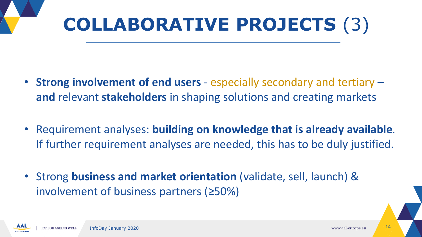

- **Strong involvement of end users**  especially secondary and tertiary **and** relevant **stakeholders** in shaping solutions and creating markets
- Requirement analyses: **building on knowledge that is already available**. If further requirement analyses are needed, this has to be duly justified.
- Strong **business and market orientation** (validate, sell, launch) & involvement of business partners (≥50%)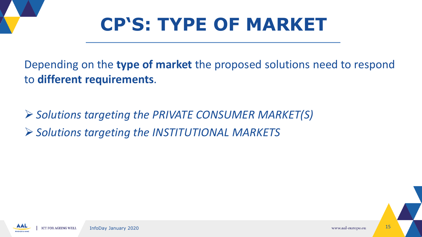

Depending on the **type of market** the proposed solutions need to respond to **different requirements**.

➢ *Solutions targeting the PRIVATE CONSUMER MARKET(S)* ➢ *Solutions targeting the INSTITUTIONAL MARKETS*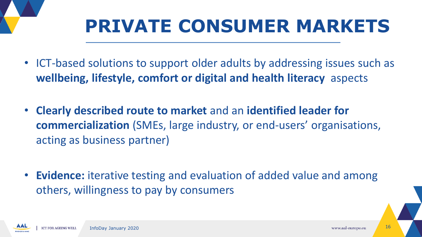### **PRIVATE CONSUMER MARKETS**

- ICT-based solutions to support older adults by addressing issues such as **wellbeing, lifestyle, comfort or digital and health literacy** aspects
- **Clearly described route to market** and an **identified leader for commercialization** (SMEs, large industry, or end-users' organisations, acting as business partner)
- **Evidence:** iterative testing and evaluation of added value and among others, willingness to pay by consumers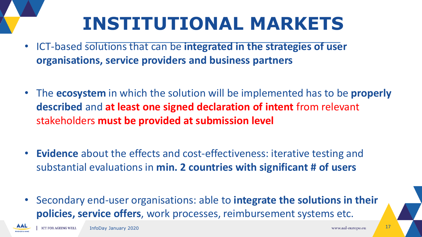## **INSTITUTIONAL MARKETS**

- ICT-based solutions that can be **integrated in the strategies of user organisations, service providers and business partners**
- The **ecosystem** in which the solution will be implemented has to be **properly described** and **at least one signed declaration of intent** from relevant stakeholders **must be provided at submission level**
- **Evidence** about the effects and cost-effectiveness: iterative testing and substantial evaluations in **min. 2 countries with significant # of users**
- Secondary end-user organisations: able to **integrate the solutions in their policies, service offers**, work processes, reimbursement systems etc.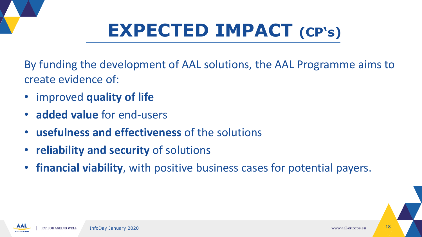

# **EXPECTED IMPACT (CP's)**

By funding the development of AAL solutions, the AAL Programme aims to create evidence of:

- improved **quality of life**
- **added value** for end-users
- **usefulness and effectiveness** of the solutions
- **reliability and security** of solutions
- **financial viability**, with positive business cases for potential payers.

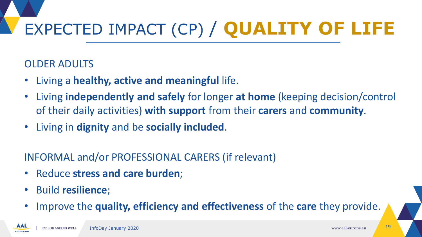# EXPECTED IMPACT (CP) / **QUALITY OF LIFE**

#### OLDER ADULTS

- Living a **healthy, active and meaningful** life.
- Living **independently and safely** for longer **at home** (keeping decision/control of their daily activities) **with support** from their **carers** and **community**.
- Living in **dignity** and be **socially included**.

#### INFORMAL and/or PROFESSIONAL CARERS (if relevant)

- Reduce **stress and care burden**;
- Build **resilience**;
- Improve the **quality, efficiency and effectiveness** of the **care** they provide.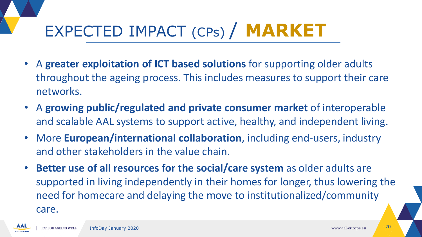### EXPECTED IMPACT (CPs) / **MARKET**

- A **greater exploitation of ICT based solutions** for supporting older adults throughout the ageing process. This includes measures to support their care networks.
- A **growing public/regulated and private consumer market** of interoperable and scalable AAL systems to support active, healthy, and independent living.
- More **European/international collaboration**, including end-users, industry and other stakeholders in the value chain.
- **Better use of all resources for the social/care system** as older adults are supported in living independently in their homes for longer, thus lowering the need for homecare and delaying the move to institutionalized/community care.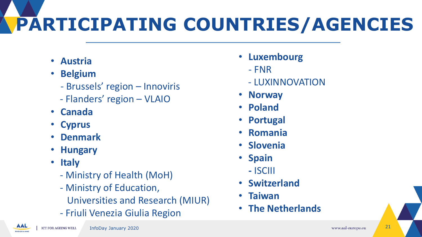# **PARTICIPATING COUNTRIES/AGENCIES**

- **Austria**
- **Belgium**
	- Brussels' region Innoviris
	- Flanders' region VLAIO
- **Canada**
- **Cyprus**
- **Denmark**
- **Hungary**
- **Italy**
	- Ministry of Health (MoH)
	- Ministry of Education,
		- Universities and Research (MIUR)
	- Friuli Venezia Giulia Region
- **Luxembourg**
	- FNR
	- LUXINNOVATION
- **Norway**
- **Poland**
- **Portugal**
- **Romania**
- **Slovenia**
- **Spain**
	- **-** ISCIII
- **Switzerland**
- **Taiwan**
- **The Netherlands**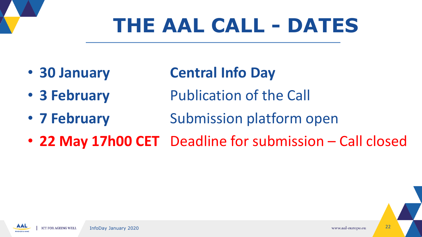# **THE AAL CALL - DATES**

- 
- **30 January Central Info Day**
- **3 February** Publication of the Call
- **7 February** Submission platform open
- **22 May 17h00 CET** Deadline for submission Call closed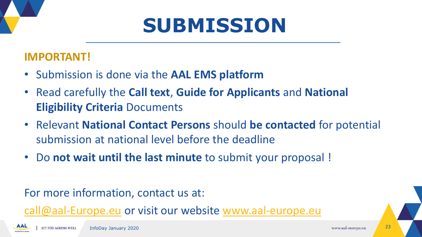## **SUBMISSION**

#### **IMPORTANT!**

- Submission is done via the **AAL EMS platform**
- Read carefully the **Call text**, **Guide for Applicants** and **National Eligibility Criteria** Documents
- Relevant **National Contact Persons** should **be contacted** for potential submission at national level before the deadline
- Do **not wait until the last minute** to submit your proposal !

For more information, contact us at:

[call@aal-Europe.eu](mailto:call@aal-Europe.eu) or visit our website [www.aal-europe.eu](http://www.aal-europe.eu/)

AAL

**BROGRAMM**